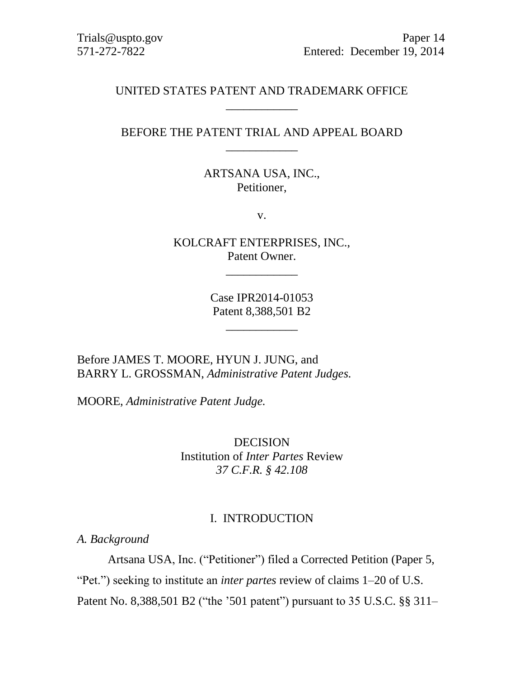## UNITED STATES PATENT AND TRADEMARK OFFICE \_\_\_\_\_\_\_\_\_\_\_\_

## BEFORE THE PATENT TRIAL AND APPEAL BOARD \_\_\_\_\_\_\_\_\_\_\_\_

ARTSANA USA, INC., Petitioner,

v.

KOLCRAFT ENTERPRISES, INC., Patent Owner.

\_\_\_\_\_\_\_\_\_\_\_\_

Case IPR2014-01053 Patent 8,388,501 B2

\_\_\_\_\_\_\_\_\_\_\_\_

Before JAMES T. MOORE, HYUN J. JUNG, and BARRY L. GROSSMAN, *Administrative Patent Judges.*

MOORE, *Administrative Patent Judge.*

DECISION Institution of *Inter Partes* Review *37 C.F.R. § 42.108*

#### I. INTRODUCTION

*A. Background*

Artsana USA, Inc. ("Petitioner") filed a Corrected Petition (Paper 5,

"Pet.") seeking to institute an *inter partes* review of claims 1–20 of U.S.

Patent No. 8,388,501 B2 ("the '501 patent") pursuant to 35 U.S.C. §§ 311–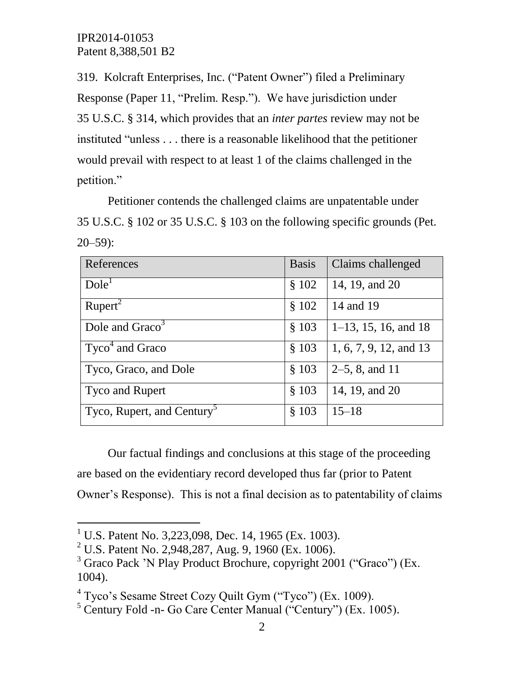319. Kolcraft Enterprises, Inc. ("Patent Owner") filed a Preliminary Response (Paper 11, "Prelim. Resp."). We have jurisdiction under 35 U.S.C. § 314, which provides that an *inter partes* review may not be instituted "unless . . . there is a reasonable likelihood that the petitioner would prevail with respect to at least 1 of the claims challenged in the petition."

Petitioner contends the challenged claims are unpatentable under 35 U.S.C. § 102 or 35 U.S.C. § 103 on the following specific grounds (Pet. 20–59):

| References                             | <b>Basis</b> | Claims challenged        |
|----------------------------------------|--------------|--------------------------|
| Dole <sup>T</sup>                      | \$102        | 14, 19, and 20           |
| $R$ upert <sup>2</sup>                 | \$102        | 14 and 19                |
| Dole and Graco <sup>3</sup>            | \$103        | $1-13$ , 15, 16, and 18  |
| $Tyco4$ and Graco                      | \$103        | $1, 6, 7, 9, 12,$ and 13 |
| Tyco, Graco, and Dole                  | \$103        | $2-5$ , 8, and 11        |
| Tyco and Rupert                        | \$103        | 14, 19, and 20           |
| Tyco, Rupert, and Century <sup>3</sup> | \$103        | $15 - 18$                |

Our factual findings and conclusions at this stage of the proceeding are based on the evidentiary record developed thus far (prior to Patent Owner's Response). This is not a final decision as to patentability of claims

l

<sup>&</sup>lt;sup>1</sup> U.S. Patent No. 3,223,098, Dec. 14, 1965 (Ex. 1003).

 $^{2}$  U.S. Patent No. 2,948,287, Aug. 9, 1960 (Ex. 1006).

 $3$  Graco Pack 'N Play Product Brochure, copyright 2001 ("Graco") (Ex. 1004).

<sup>&</sup>lt;sup>4</sup> Tyco's Sesame Street Cozy Quilt Gym ("Tyco") (Ex. 1009).

<sup>5</sup> Century Fold -n- Go Care Center Manual ("Century") (Ex. 1005).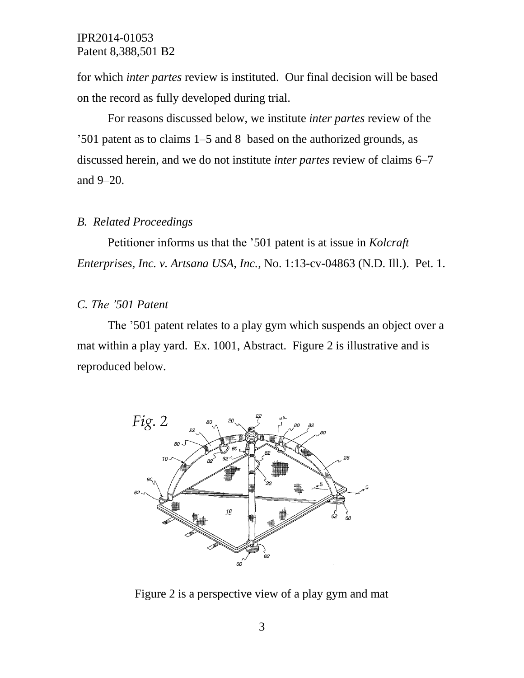for which *inter partes* review is instituted. Our final decision will be based on the record as fully developed during trial.

For reasons discussed below, we institute *inter partes* review of the '501 patent as to claims 1–5 and 8 based on the authorized grounds, as discussed herein, and we do not institute *inter partes* review of claims 6–7 and 9–20.

## *B. Related Proceedings*

Petitioner informs us that the '501 patent is at issue in *Kolcraft Enterprises, Inc. v. Artsana USA, Inc.*, No. 1:13-cv-04863 (N.D. Ill.). Pet. 1.

#### *C. The '501 Patent*

The '501 patent relates to a play gym which suspends an object over a mat within a play yard. Ex. 1001, Abstract. Figure 2 is illustrative and is reproduced below.



Figure 2 is a perspective view of a play gym and mat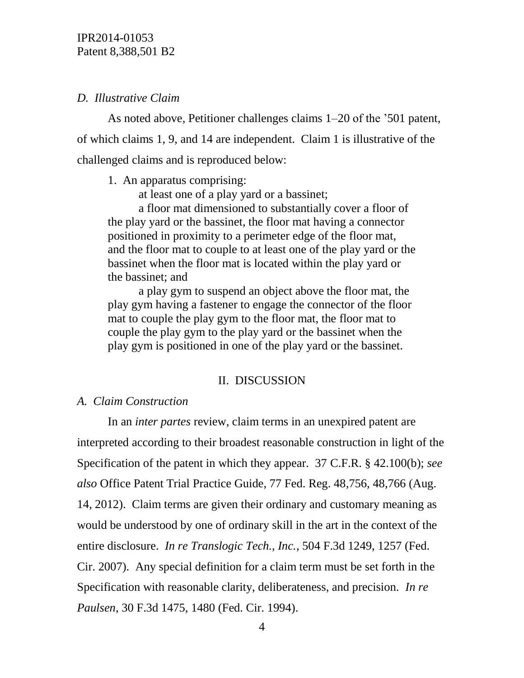#### *D. Illustrative Claim*

As noted above, Petitioner challenges claims 1–20 of the '501 patent, of which claims 1, 9, and 14 are independent. Claim 1 is illustrative of the challenged claims and is reproduced below:

1. An apparatus comprising:

at least one of a play yard or a bassinet;

a floor mat dimensioned to substantially cover a floor of the play yard or the bassinet, the floor mat having a connector positioned in proximity to a perimeter edge of the floor mat, and the floor mat to couple to at least one of the play yard or the bassinet when the floor mat is located within the play yard or the bassinet; and

a play gym to suspend an object above the floor mat, the play gym having a fastener to engage the connector of the floor mat to couple the play gym to the floor mat, the floor mat to couple the play gym to the play yard or the bassinet when the play gym is positioned in one of the play yard or the bassinet.

## II. DISCUSSION

## *A. Claim Construction*

In an *inter partes* review, claim terms in an unexpired patent are interpreted according to their broadest reasonable construction in light of the Specification of the patent in which they appear. 37 C.F.R. § 42.100(b); *see also* Office Patent Trial Practice Guide, 77 Fed. Reg. 48,756, 48,766 (Aug. 14, 2012). Claim terms are given their ordinary and customary meaning as would be understood by one of ordinary skill in the art in the context of the entire disclosure. *In re Translogic Tech., Inc.*, 504 F.3d 1249, 1257 (Fed. Cir. 2007). Any special definition for a claim term must be set forth in the Specification with reasonable clarity, deliberateness, and precision. *In re Paulsen*, 30 F.3d 1475, 1480 (Fed. Cir. 1994).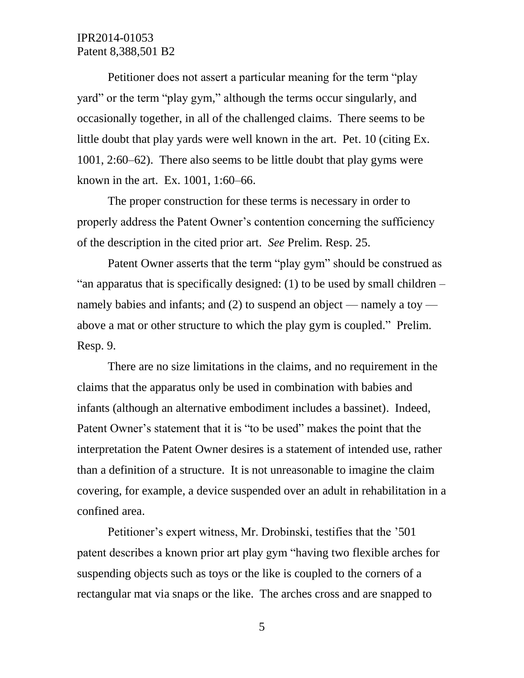Petitioner does not assert a particular meaning for the term "play yard" or the term "play gym," although the terms occur singularly, and occasionally together, in all of the challenged claims. There seems to be little doubt that play yards were well known in the art. Pet. 10 (citing Ex. 1001, 2:60–62). There also seems to be little doubt that play gyms were known in the art. Ex. 1001, 1:60–66.

The proper construction for these terms is necessary in order to properly address the Patent Owner's contention concerning the sufficiency of the description in the cited prior art. *See* Prelim. Resp. 25.

Patent Owner asserts that the term "play gym" should be construed as "an apparatus that is specifically designed: (1) to be used by small children  $$ namely babies and infants; and (2) to suspend an object — namely a toy above a mat or other structure to which the play gym is coupled." Prelim. Resp. 9.

There are no size limitations in the claims, and no requirement in the claims that the apparatus only be used in combination with babies and infants (although an alternative embodiment includes a bassinet). Indeed, Patent Owner's statement that it is "to be used" makes the point that the interpretation the Patent Owner desires is a statement of intended use, rather than a definition of a structure. It is not unreasonable to imagine the claim covering, for example, a device suspended over an adult in rehabilitation in a confined area.

Petitioner's expert witness, Mr. Drobinski, testifies that the '501 patent describes a known prior art play gym "having two flexible arches for suspending objects such as toys or the like is coupled to the corners of a rectangular mat via snaps or the like. The arches cross and are snapped to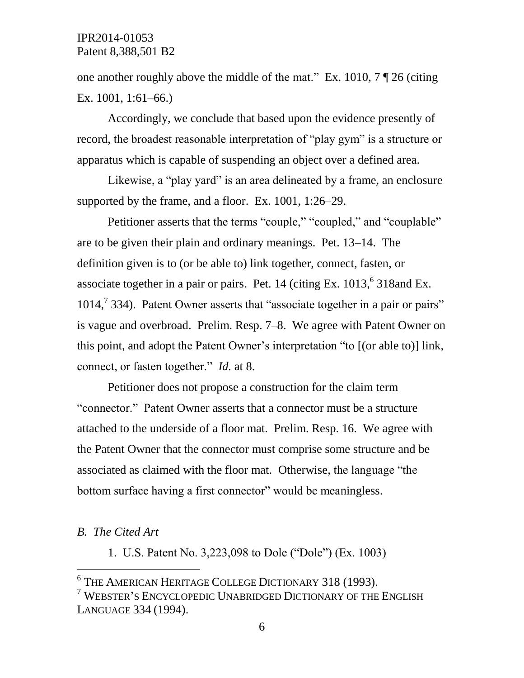one another roughly above the middle of the mat." Ex. 1010, 7 ¶ 26 (citing Ex. 1001, 1:61–66.)

Accordingly, we conclude that based upon the evidence presently of record, the broadest reasonable interpretation of "play gym" is a structure or apparatus which is capable of suspending an object over a defined area.

Likewise, a "play yard" is an area delineated by a frame, an enclosure supported by the frame, and a floor. Ex. 1001, 1:26–29.

Petitioner asserts that the terms "couple," "coupled," and "couplable" are to be given their plain and ordinary meanings. Pet. 13–14. The definition given is to (or be able to) link together, connect, fasten, or associate together in a pair or pairs. Pet. 14 (citing Ex. 1013, 6 318and Ex. 1014,<sup>7</sup> 334). Patent Owner asserts that "associate together in a pair or pairs" is vague and overbroad. Prelim. Resp. 7–8. We agree with Patent Owner on this point, and adopt the Patent Owner's interpretation "to [(or able to)] link, connect, or fasten together." *Id.* at 8.

Petitioner does not propose a construction for the claim term "connector." Patent Owner asserts that a connector must be a structure attached to the underside of a floor mat. Prelim. Resp. 16. We agree with the Patent Owner that the connector must comprise some structure and be associated as claimed with the floor mat. Otherwise, the language "the bottom surface having a first connector" would be meaningless.

## *B. The Cited Art*

 $\overline{a}$ 

1. U.S. Patent No. 3,223,098 to Dole ("Dole") (Ex. 1003)

 $^6$  The American Heritage College Dictionary 318 (1993).

 $^7$  Webster's Encyclopedic Unabridged Dictionary of the English LANGUAGE 334 (1994).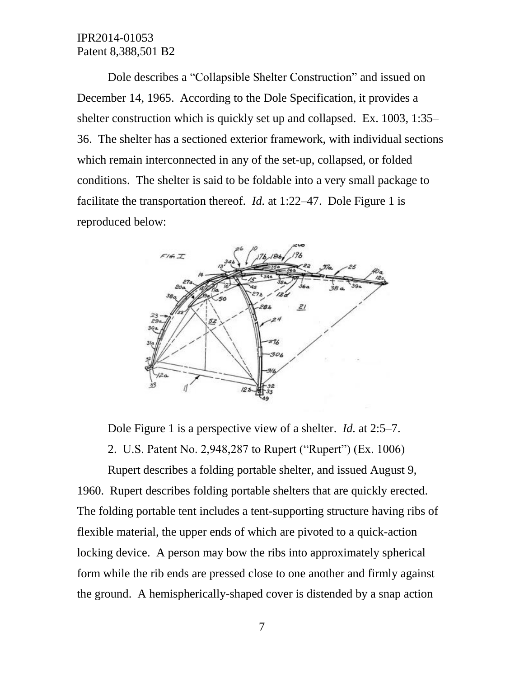Dole describes a "Collapsible Shelter Construction" and issued on December 14, 1965. According to the Dole Specification, it provides a shelter construction which is quickly set up and collapsed. Ex. 1003, 1:35– 36. The shelter has a sectioned exterior framework, with individual sections which remain interconnected in any of the set-up, collapsed, or folded conditions. The shelter is said to be foldable into a very small package to facilitate the transportation thereof. *Id.* at 1:22–47. Dole Figure 1 is reproduced below:



Dole Figure 1 is a perspective view of a shelter. *Id.* at 2:5–7.

2. U.S. Patent No. 2,948,287 to Rupert ("Rupert") (Ex. 1006)

Rupert describes a folding portable shelter, and issued August 9, 1960. Rupert describes folding portable shelters that are quickly erected. The folding portable tent includes a tent-supporting structure having ribs of flexible material, the upper ends of which are pivoted to a quick-action locking device. A person may bow the ribs into approximately spherical form while the rib ends are pressed close to one another and firmly against the ground. A hemispherically-shaped cover is distended by a snap action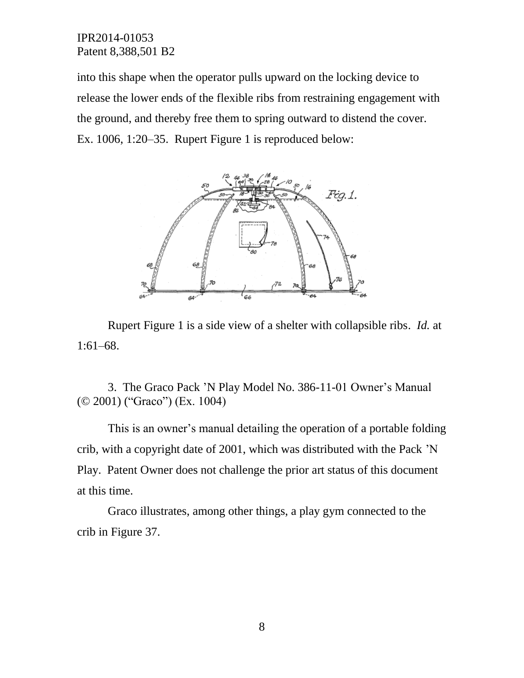into this shape when the operator pulls upward on the locking device to release the lower ends of the flexible ribs from restraining engagement with the ground, and thereby free them to spring outward to distend the cover. Ex. 1006, 1:20–35. Rupert Figure 1 is reproduced below:



Rupert Figure 1 is a side view of a shelter with collapsible ribs. *Id.* at 1:61–68.

3. The Graco Pack 'N Play Model No. 386-11-01 Owner's Manual (© 2001) ("Graco") (Ex. 1004)

This is an owner's manual detailing the operation of a portable folding crib, with a copyright date of 2001, which was distributed with the Pack 'N Play. Patent Owner does not challenge the prior art status of this document at this time.

Graco illustrates, among other things, a play gym connected to the crib in Figure 37.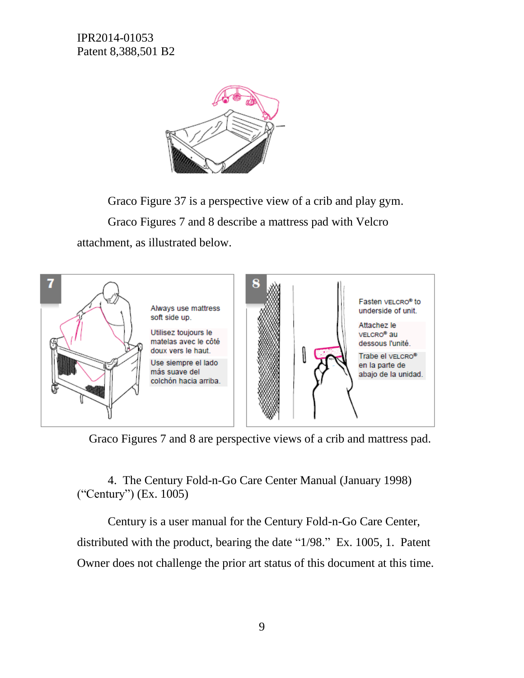

Graco Figure 37 is a perspective view of a crib and play gym. Graco Figures 7 and 8 describe a mattress pad with Velcro attachment, as illustrated below.



Graco Figures 7 and 8 are perspective views of a crib and mattress pad.

4. The Century Fold-n-Go Care Center Manual (January 1998) ("Century") (Ex. 1005)

Century is a user manual for the Century Fold-n-Go Care Center, distributed with the product, bearing the date "1/98." Ex. 1005, 1. Patent Owner does not challenge the prior art status of this document at this time.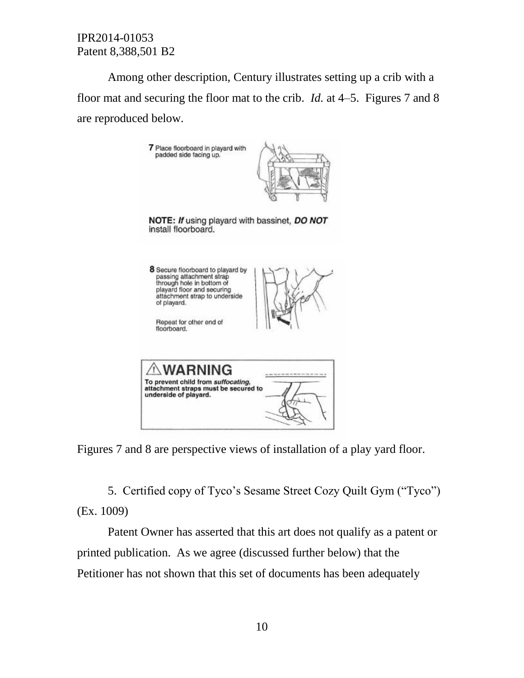Among other description, Century illustrates setting up a crib with a floor mat and securing the floor mat to the crib. *Id.* at 4–5. Figures 7 and 8 are reproduced below.

![](_page_9_Picture_2.jpeg)

Figures 7 and 8 are perspective views of installation of a play yard floor.

5. Certified copy of Tyco's Sesame Street Cozy Quilt Gym ("Tyco") (Ex. 1009)

Patent Owner has asserted that this art does not qualify as a patent or printed publication. As we agree (discussed further below) that the Petitioner has not shown that this set of documents has been adequately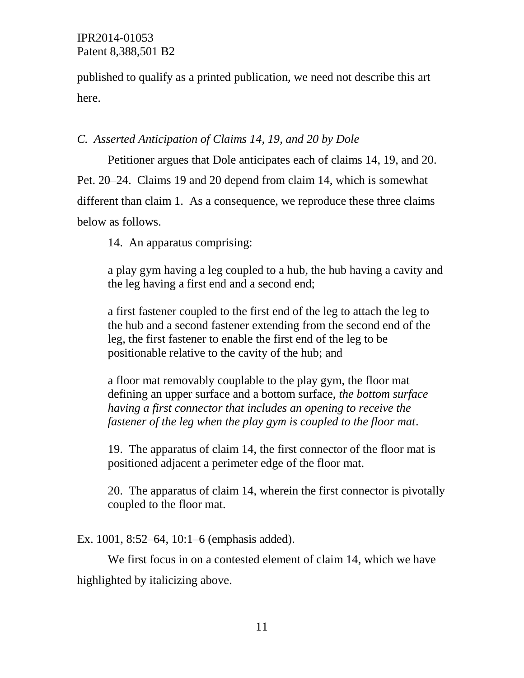published to qualify as a printed publication, we need not describe this art here.

## *C. Asserted Anticipation of Claims 14, 19, and 20 by Dole*

Petitioner argues that Dole anticipates each of claims 14, 19, and 20. Pet. 20–24. Claims 19 and 20 depend from claim 14, which is somewhat different than claim 1. As a consequence, we reproduce these three claims below as follows.

14. An apparatus comprising:

a play gym having a leg coupled to a hub, the hub having a cavity and the leg having a first end and a second end;

a first fastener coupled to the first end of the leg to attach the leg to the hub and a second fastener extending from the second end of the leg, the first fastener to enable the first end of the leg to be positionable relative to the cavity of the hub; and

a floor mat removably couplable to the play gym, the floor mat defining an upper surface and a bottom surface, *the bottom surface having a first connector that includes an opening to receive the fastener of the leg when the play gym is coupled to the floor mat*.

19. The apparatus of claim 14, the first connector of the floor mat is positioned adjacent a perimeter edge of the floor mat.

20. The apparatus of claim 14, wherein the first connector is pivotally coupled to the floor mat.

Ex. 1001, 8:52–64, 10:1–6 (emphasis added).

We first focus in on a contested element of claim 14, which we have highlighted by italicizing above.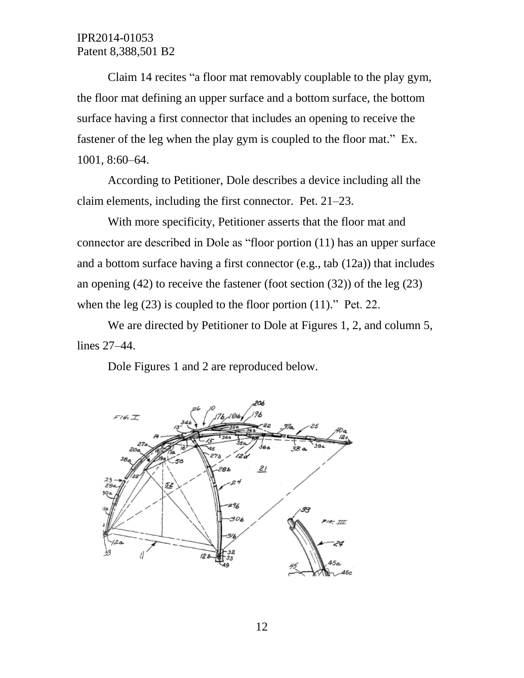Claim 14 recites "a floor mat removably couplable to the play gym, the floor mat defining an upper surface and a bottom surface, the bottom surface having a first connector that includes an opening to receive the fastener of the leg when the play gym is coupled to the floor mat." Ex. 1001, 8:60–64.

According to Petitioner, Dole describes a device including all the claim elements, including the first connector. Pet. 21–23.

With more specificity, Petitioner asserts that the floor mat and connector are described in Dole as "floor portion (11) has an upper surface and a bottom surface having a first connector (e.g., tab (12a)) that includes an opening (42) to receive the fastener (foot section (32)) of the leg (23) when the leg  $(23)$  is coupled to the floor portion  $(11)$ ." Pet. 22.

We are directed by Petitioner to Dole at Figures 1, 2, and column 5, lines 27–44.

Dole Figures 1 and 2 are reproduced below.

![](_page_11_Figure_6.jpeg)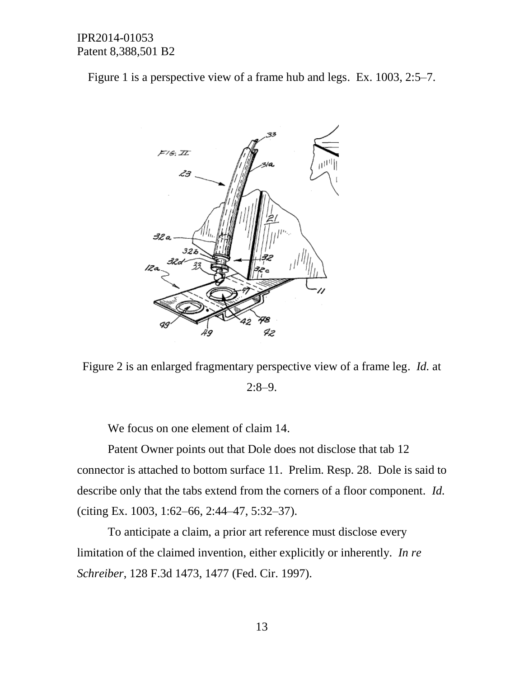Figure 1 is a perspective view of a frame hub and legs. Ex. 1003, 2:5–7.

![](_page_12_Figure_2.jpeg)

Figure 2 is an enlarged fragmentary perspective view of a frame leg. *Id.* at 2:8–9.

We focus on one element of claim 14.

Patent Owner points out that Dole does not disclose that tab 12 connector is attached to bottom surface 11. Prelim. Resp. 28. Dole is said to describe only that the tabs extend from the corners of a floor component. *Id.* (citing Ex. 1003, 1:62–66, 2:44–47, 5:32–37).

To anticipate a claim, a prior art reference must disclose every limitation of the claimed invention, either explicitly or inherently. *In re Schreiber*, 128 F.3d 1473, 1477 (Fed. Cir. 1997).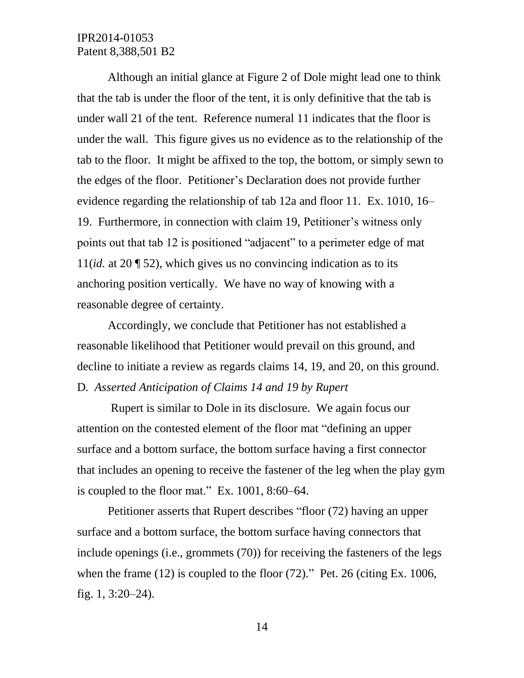Although an initial glance at Figure 2 of Dole might lead one to think that the tab is under the floor of the tent, it is only definitive that the tab is under wall 21 of the tent. Reference numeral 11 indicates that the floor is under the wall. This figure gives us no evidence as to the relationship of the tab to the floor. It might be affixed to the top, the bottom, or simply sewn to the edges of the floor. Petitioner's Declaration does not provide further evidence regarding the relationship of tab 12a and floor 11. Ex. 1010, 16– 19. Furthermore, in connection with claim 19, Petitioner's witness only points out that tab 12 is positioned "adjacent" to a perimeter edge of mat 11(*id.* at 20 ¶ 52), which gives us no convincing indication as to its anchoring position vertically. We have no way of knowing with a reasonable degree of certainty.

Accordingly, we conclude that Petitioner has not established a reasonable likelihood that Petitioner would prevail on this ground, and decline to initiate a review as regards claims 14, 19, and 20, on this ground. D*. Asserted Anticipation of Claims 14 and 19 by Rupert*

Rupert is similar to Dole in its disclosure. We again focus our attention on the contested element of the floor mat "defining an upper surface and a bottom surface, the bottom surface having a first connector that includes an opening to receive the fastener of the leg when the play gym is coupled to the floor mat." Ex. 1001, 8:60–64.

Petitioner asserts that Rupert describes "floor (72) having an upper surface and a bottom surface, the bottom surface having connectors that include openings (i.e., grommets (70)) for receiving the fasteners of the legs when the frame  $(12)$  is coupled to the floor  $(72)$ ." Pet. 26 (citing Ex. 1006, fig. 1, 3:20–24).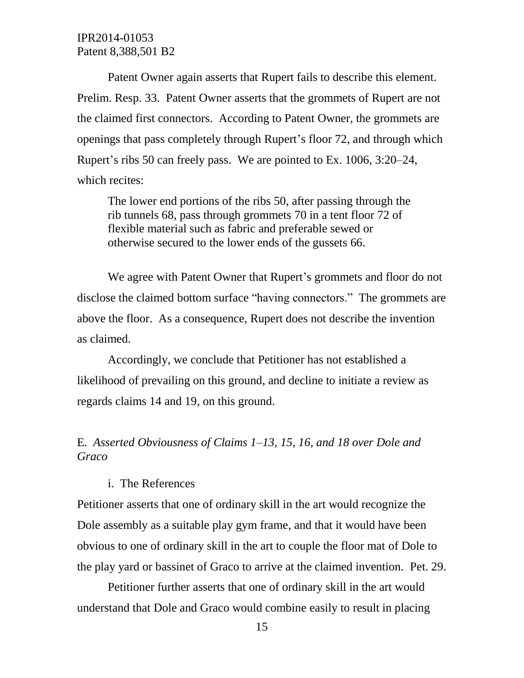Patent Owner again asserts that Rupert fails to describe this element. Prelim. Resp. 33. Patent Owner asserts that the grommets of Rupert are not the claimed first connectors. According to Patent Owner, the grommets are openings that pass completely through Rupert's floor 72, and through which Rupert's ribs 50 can freely pass. We are pointed to Ex. 1006, 3:20–24, which recites:

The lower end portions of the ribs 50, after passing through the rib tunnels 68, pass through grommets 70 in a tent floor 72 of flexible material such as fabric and preferable sewed or otherwise secured to the lower ends of the gussets 66.

We agree with Patent Owner that Rupert's grommets and floor do not disclose the claimed bottom surface "having connectors." The grommets are above the floor. As a consequence, Rupert does not describe the invention as claimed.

Accordingly, we conclude that Petitioner has not established a likelihood of prevailing on this ground, and decline to initiate a review as regards claims 14 and 19, on this ground.

# E*. Asserted Obviousness of Claims 1*–*13, 15, 16, and 18 over Dole and Graco*

#### i. The References

Petitioner asserts that one of ordinary skill in the art would recognize the Dole assembly as a suitable play gym frame, and that it would have been obvious to one of ordinary skill in the art to couple the floor mat of Dole to the play yard or bassinet of Graco to arrive at the claimed invention. Pet. 29.

Petitioner further asserts that one of ordinary skill in the art would understand that Dole and Graco would combine easily to result in placing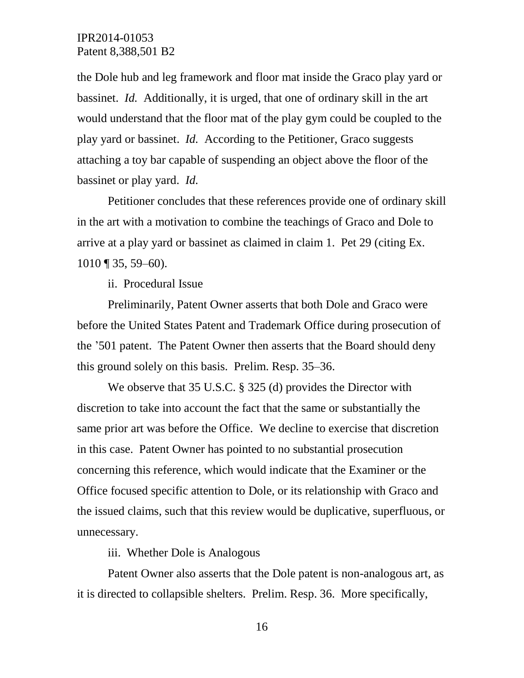the Dole hub and leg framework and floor mat inside the Graco play yard or bassinet. *Id.* Additionally, it is urged, that one of ordinary skill in the art would understand that the floor mat of the play gym could be coupled to the play yard or bassinet. *Id.* According to the Petitioner, Graco suggests attaching a toy bar capable of suspending an object above the floor of the bassinet or play yard. *Id.* 

Petitioner concludes that these references provide one of ordinary skill in the art with a motivation to combine the teachings of Graco and Dole to arrive at a play yard or bassinet as claimed in claim 1. Pet 29 (citing Ex.  $1010 \text{ }\mathbf{9}35, 59-60$ .

ii. Procedural Issue

Preliminarily, Patent Owner asserts that both Dole and Graco were before the United States Patent and Trademark Office during prosecution of the '501 patent. The Patent Owner then asserts that the Board should deny this ground solely on this basis. Prelim. Resp. 35–36.

We observe that 35 U.S.C. § 325 (d) provides the Director with discretion to take into account the fact that the same or substantially the same prior art was before the Office. We decline to exercise that discretion in this case. Patent Owner has pointed to no substantial prosecution concerning this reference, which would indicate that the Examiner or the Office focused specific attention to Dole, or its relationship with Graco and the issued claims, such that this review would be duplicative, superfluous, or unnecessary.

iii. Whether Dole is Analogous

Patent Owner also asserts that the Dole patent is non-analogous art, as it is directed to collapsible shelters. Prelim. Resp. 36. More specifically,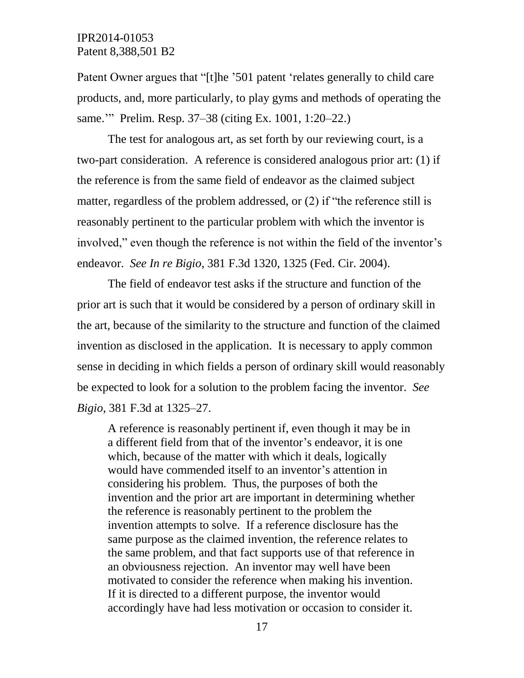Patent Owner argues that "[t]he '501 patent 'relates generally to child care products, and, more particularly, to play gyms and methods of operating the same.'" Prelim. Resp. 37–38 (citing Ex. 1001, 1:20–22.)

The test for analogous art, as set forth by our reviewing court, is a two-part consideration. A reference is considered analogous prior art: (1) if the reference is from the same field of endeavor as the claimed subject matter, regardless of the problem addressed, or (2) if "the reference still is reasonably pertinent to the particular problem with which the inventor is involved," even though the reference is not within the field of the inventor's endeavor. *See In re Bigio*, 381 F.3d 1320, 1325 (Fed. Cir. 2004).

The field of endeavor test asks if the structure and function of the prior art is such that it would be considered by a person of ordinary skill in the art, because of the similarity to the structure and function of the claimed invention as disclosed in the application. It is necessary to apply common sense in deciding in which fields a person of ordinary skill would reasonably be expected to look for a solution to the problem facing the inventor. *See Bigio*, 381 F.3d at 1325–27.

A reference is reasonably pertinent if, even though it may be in a different field from that of the inventor's endeavor, it is one which, because of the matter with which it deals, logically would have commended itself to an inventor's attention in considering his problem. Thus, the purposes of both the invention and the prior art are important in determining whether the reference is reasonably pertinent to the problem the invention attempts to solve. If a reference disclosure has the same purpose as the claimed invention, the reference relates to the same problem, and that fact supports use of that reference in an obviousness rejection. An inventor may well have been motivated to consider the reference when making his invention. If it is directed to a different purpose, the inventor would accordingly have had less motivation or occasion to consider it.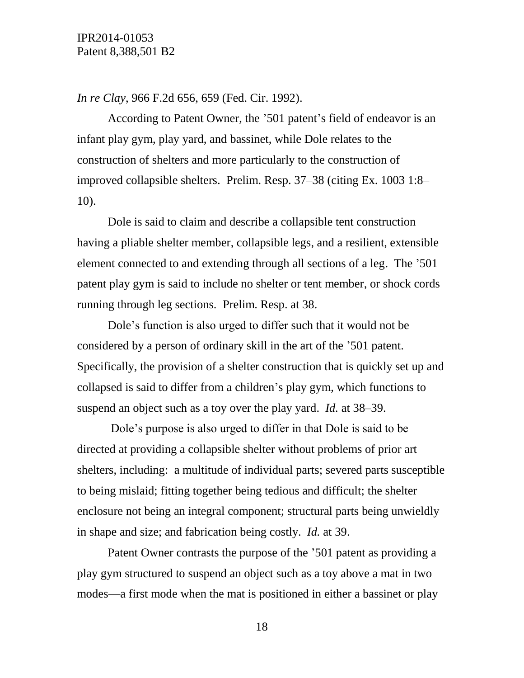*In re Clay*, 966 F.2d 656, 659 (Fed. Cir. 1992).

According to Patent Owner, the '501 patent's field of endeavor is an infant play gym, play yard, and bassinet, while Dole relates to the construction of shelters and more particularly to the construction of improved collapsible shelters. Prelim. Resp. 37–38 (citing Ex. 1003 1:8– 10).

Dole is said to claim and describe a collapsible tent construction having a pliable shelter member, collapsible legs, and a resilient, extensible element connected to and extending through all sections of a leg. The '501 patent play gym is said to include no shelter or tent member, or shock cords running through leg sections. Prelim. Resp. at 38.

Dole's function is also urged to differ such that it would not be considered by a person of ordinary skill in the art of the '501 patent. Specifically, the provision of a shelter construction that is quickly set up and collapsed is said to differ from a children's play gym, which functions to suspend an object such as a toy over the play yard. *Id.* at 38–39.

Dole's purpose is also urged to differ in that Dole is said to be directed at providing a collapsible shelter without problems of prior art shelters, including: a multitude of individual parts; severed parts susceptible to being mislaid; fitting together being tedious and difficult; the shelter enclosure not being an integral component; structural parts being unwieldly in shape and size; and fabrication being costly. *Id.* at 39.

Patent Owner contrasts the purpose of the '501 patent as providing a play gym structured to suspend an object such as a toy above a mat in two modes—a first mode when the mat is positioned in either a bassinet or play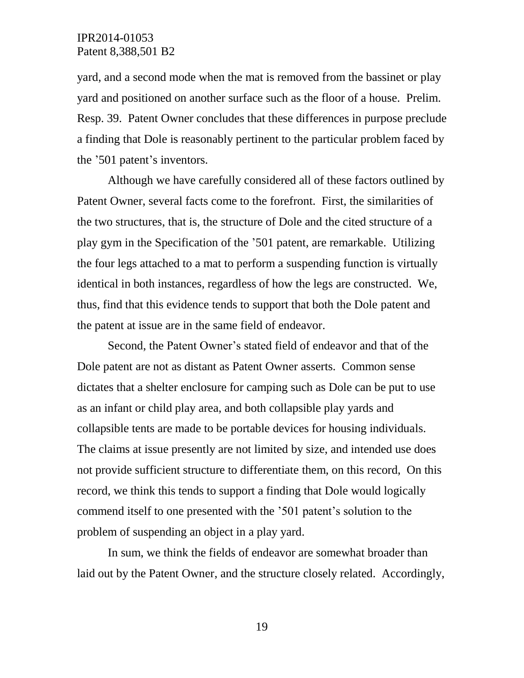yard, and a second mode when the mat is removed from the bassinet or play yard and positioned on another surface such as the floor of a house. Prelim. Resp. 39. Patent Owner concludes that these differences in purpose preclude a finding that Dole is reasonably pertinent to the particular problem faced by the '501 patent's inventors.

Although we have carefully considered all of these factors outlined by Patent Owner, several facts come to the forefront. First, the similarities of the two structures, that is, the structure of Dole and the cited structure of a play gym in the Specification of the '501 patent, are remarkable. Utilizing the four legs attached to a mat to perform a suspending function is virtually identical in both instances, regardless of how the legs are constructed. We, thus, find that this evidence tends to support that both the Dole patent and the patent at issue are in the same field of endeavor.

Second, the Patent Owner's stated field of endeavor and that of the Dole patent are not as distant as Patent Owner asserts. Common sense dictates that a shelter enclosure for camping such as Dole can be put to use as an infant or child play area, and both collapsible play yards and collapsible tents are made to be portable devices for housing individuals. The claims at issue presently are not limited by size, and intended use does not provide sufficient structure to differentiate them, on this record, On this record, we think this tends to support a finding that Dole would logically commend itself to one presented with the '501 patent's solution to the problem of suspending an object in a play yard.

In sum, we think the fields of endeavor are somewhat broader than laid out by the Patent Owner, and the structure closely related. Accordingly,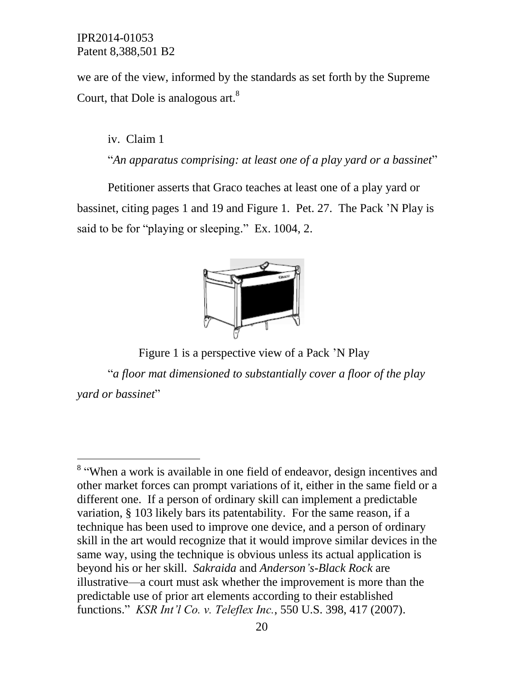we are of the view, informed by the standards as set forth by the Supreme Court, that Dole is analogous art. $8$ 

iv. Claim 1

l

"*An apparatus comprising: at least one of a play yard or a bassinet*"

Petitioner asserts that Graco teaches at least one of a play yard or bassinet, citing pages 1 and 19 and Figure 1. Pet. 27. The Pack 'N Play is said to be for "playing or sleeping." Ex. 1004, 2.

![](_page_19_Picture_5.jpeg)

Figure 1 is a perspective view of a Pack 'N Play "*a floor mat dimensioned to substantially cover a floor of the play yard or bassinet*"

<sup>&</sup>lt;sup>8</sup> "When a work is available in one field of endeavor, design incentives and other market forces can prompt variations of it, either in the same field or a different one. If a person of ordinary skill can implement a predictable variation, § 103 likely bars its patentability. For the same reason, if a technique has been used to improve one device, and a person of ordinary skill in the art would recognize that it would improve similar devices in the same way, using the technique is obvious unless its actual application is beyond his or her skill. *Sakraida* and *Anderson's-Black Rock* are illustrative—a court must ask whether the improvement is more than the predictable use of prior art elements according to their established functions." *KSR Int'l Co. v. Teleflex Inc.*, 550 U.S. 398, 417 (2007).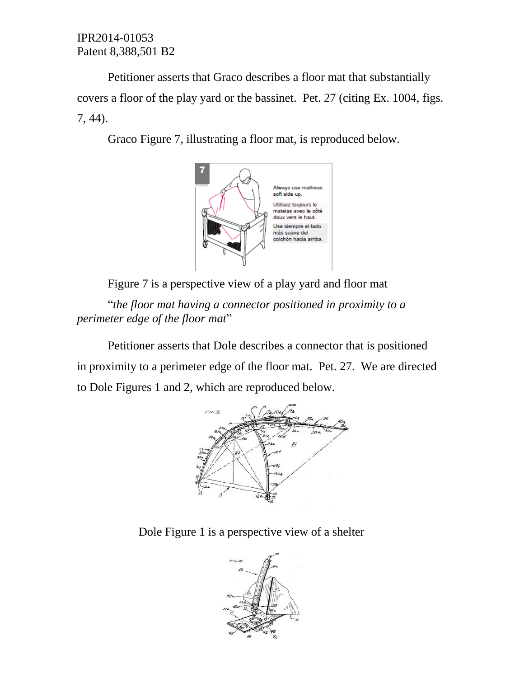Petitioner asserts that Graco describes a floor mat that substantially covers a floor of the play yard or the bassinet. Pet. 27 (citing Ex. 1004, figs. 7, 44).

Graco Figure 7, illustrating a floor mat, is reproduced below.

![](_page_20_Picture_3.jpeg)

Figure 7 is a perspective view of a play yard and floor mat

"*the floor mat having a connector positioned in proximity to a perimeter edge of the floor mat*"

Petitioner asserts that Dole describes a connector that is positioned in proximity to a perimeter edge of the floor mat. Pet. 27. We are directed to Dole Figures 1 and 2, which are reproduced below.

![](_page_20_Picture_7.jpeg)

Dole Figure 1 is a perspective view of a shelter

![](_page_20_Picture_9.jpeg)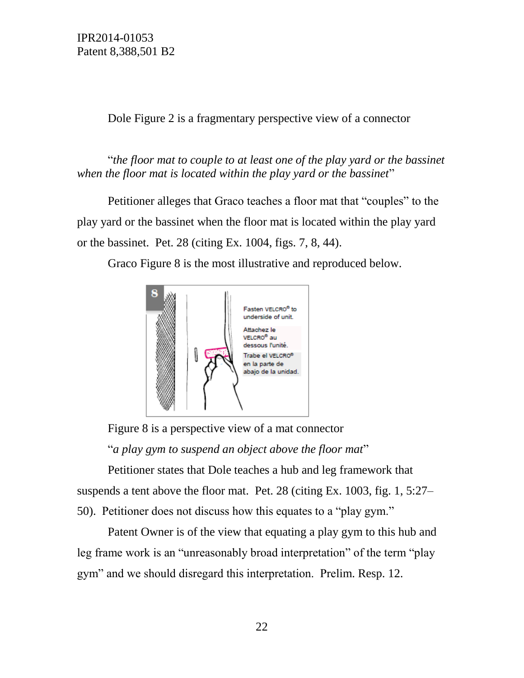Dole Figure 2 is a fragmentary perspective view of a connector

"*the floor mat to couple to at least one of the play yard or the bassinet when the floor mat is located within the play yard or the bassinet*"

Petitioner alleges that Graco teaches a floor mat that "couples" to the play yard or the bassinet when the floor mat is located within the play yard or the bassinet. Pet. 28 (citing Ex. 1004, figs. 7, 8, 44).

Graco Figure 8 is the most illustrative and reproduced below.

![](_page_21_Picture_5.jpeg)

Figure 8 is a perspective view of a mat connector

"*a play gym to suspend an object above the floor mat*"

Petitioner states that Dole teaches a hub and leg framework that suspends a tent above the floor mat. Pet. 28 (citing Ex. 1003, fig. 1, 5:27– 50). Petitioner does not discuss how this equates to a "play gym."

Patent Owner is of the view that equating a play gym to this hub and leg frame work is an "unreasonably broad interpretation" of the term "play gym" and we should disregard this interpretation. Prelim. Resp. 12.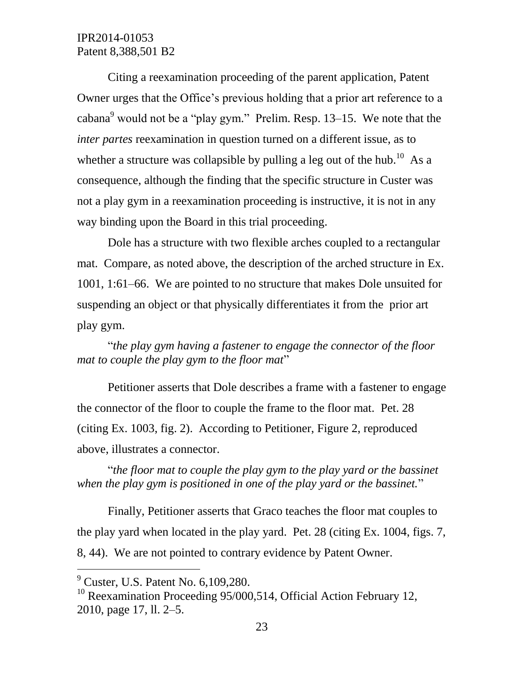Citing a reexamination proceeding of the parent application, Patent Owner urges that the Office's previous holding that a prior art reference to a cabana<sup>9</sup> would not be a "play gym." Prelim. Resp.  $13-15$ . We note that the *inter partes* reexamination in question turned on a different issue, as to whether a structure was collapsible by pulling a leg out of the hub.<sup>10</sup> As a consequence, although the finding that the specific structure in Custer was not a play gym in a reexamination proceeding is instructive, it is not in any way binding upon the Board in this trial proceeding.

Dole has a structure with two flexible arches coupled to a rectangular mat. Compare, as noted above, the description of the arched structure in Ex. 1001, 1:61–66. We are pointed to no structure that makes Dole unsuited for suspending an object or that physically differentiates it from the prior art play gym.

"*the play gym having a fastener to engage the connector of the floor mat to couple the play gym to the floor mat*"

Petitioner asserts that Dole describes a frame with a fastener to engage the connector of the floor to couple the frame to the floor mat. Pet. 28 (citing Ex. 1003, fig. 2). According to Petitioner, Figure 2, reproduced above, illustrates a connector.

"*the floor mat to couple the play gym to the play yard or the bassinet when the play gym is positioned in one of the play yard or the bassinet.*"

Finally, Petitioner asserts that Graco teaches the floor mat couples to the play yard when located in the play yard. Pet. 28 (citing Ex. 1004, figs. 7, 8, 44). We are not pointed to contrary evidence by Patent Owner.

 $\overline{a}$ 

 $<sup>9</sup>$  Custer, U.S. Patent No. 6, 109, 280.</sup>

 $10$  Reexamination Proceeding 95/000,514, Official Action February 12, 2010, page 17, ll. 2–5.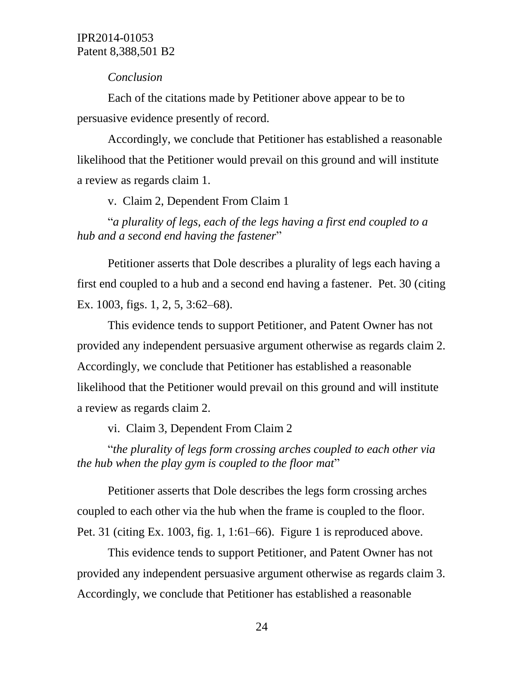#### *Conclusion*

Each of the citations made by Petitioner above appear to be to persuasive evidence presently of record.

Accordingly, we conclude that Petitioner has established a reasonable likelihood that the Petitioner would prevail on this ground and will institute a review as regards claim 1.

v. Claim 2, Dependent From Claim 1

"*a plurality of legs, each of the legs having a first end coupled to a hub and a second end having the fastener*"

Petitioner asserts that Dole describes a plurality of legs each having a first end coupled to a hub and a second end having a fastener. Pet. 30 (citing Ex. 1003, figs. 1, 2, 5, 3:62–68).

This evidence tends to support Petitioner, and Patent Owner has not provided any independent persuasive argument otherwise as regards claim 2. Accordingly, we conclude that Petitioner has established a reasonable likelihood that the Petitioner would prevail on this ground and will institute a review as regards claim 2.

vi. Claim 3, Dependent From Claim 2

"*the plurality of legs form crossing arches coupled to each other via the hub when the play gym is coupled to the floor mat*"

Petitioner asserts that Dole describes the legs form crossing arches coupled to each other via the hub when the frame is coupled to the floor. Pet. 31 (citing Ex. 1003, fig. 1, 1:61–66). Figure 1 is reproduced above.

This evidence tends to support Petitioner, and Patent Owner has not provided any independent persuasive argument otherwise as regards claim 3. Accordingly, we conclude that Petitioner has established a reasonable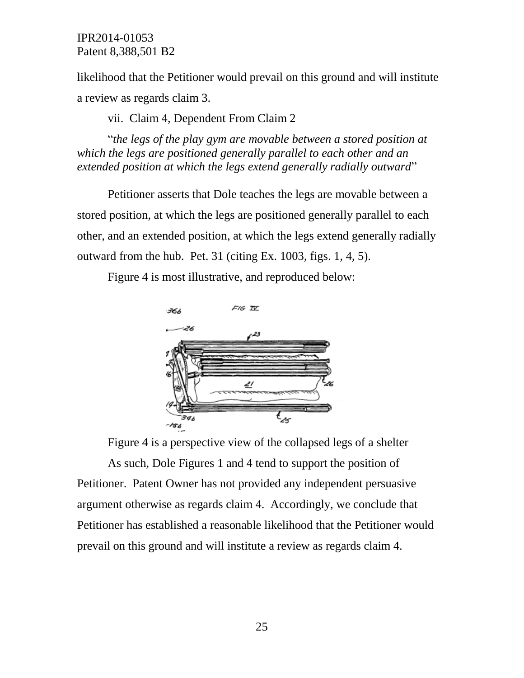likelihood that the Petitioner would prevail on this ground and will institute a review as regards claim 3.

vii. Claim 4, Dependent From Claim 2

"*the legs of the play gym are movable between a stored position at which the legs are positioned generally parallel to each other and an extended position at which the legs extend generally radially outward*"

Petitioner asserts that Dole teaches the legs are movable between a stored position, at which the legs are positioned generally parallel to each other, and an extended position, at which the legs extend generally radially outward from the hub. Pet. 31 (citing Ex. 1003, figs. 1, 4, 5).

Figure 4 is most illustrative, and reproduced below:

![](_page_24_Picture_6.jpeg)

Figure 4 is a perspective view of the collapsed legs of a shelter As such, Dole Figures 1 and 4 tend to support the position of Petitioner. Patent Owner has not provided any independent persuasive argument otherwise as regards claim 4. Accordingly, we conclude that Petitioner has established a reasonable likelihood that the Petitioner would prevail on this ground and will institute a review as regards claim 4.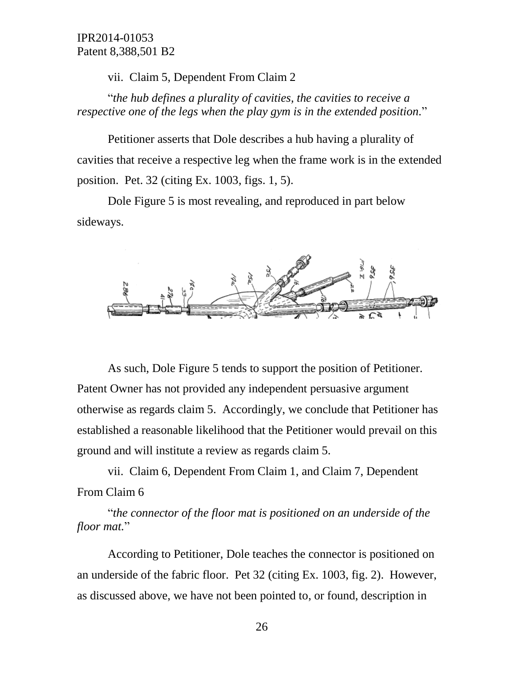vii. Claim 5, Dependent From Claim 2

"*the hub defines a plurality of cavities, the cavities to receive a respective one of the legs when the play gym is in the extended position.*"

Petitioner asserts that Dole describes a hub having a plurality of cavities that receive a respective leg when the frame work is in the extended position. Pet. 32 (citing Ex. 1003, figs. 1, 5).

Dole Figure 5 is most revealing, and reproduced in part below sideways.

![](_page_25_Picture_5.jpeg)

As such, Dole Figure 5 tends to support the position of Petitioner. Patent Owner has not provided any independent persuasive argument otherwise as regards claim 5. Accordingly, we conclude that Petitioner has established a reasonable likelihood that the Petitioner would prevail on this ground and will institute a review as regards claim 5.

vii. Claim 6, Dependent From Claim 1, and Claim 7, Dependent From Claim 6

"*the connector of the floor mat is positioned on an underside of the floor mat.*"

According to Petitioner, Dole teaches the connector is positioned on an underside of the fabric floor. Pet 32 (citing Ex. 1003, fig. 2). However, as discussed above, we have not been pointed to, or found, description in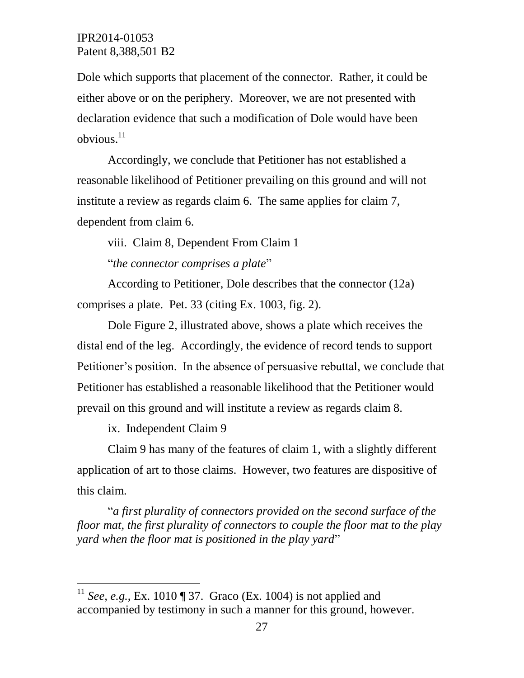Dole which supports that placement of the connector. Rather, it could be either above or on the periphery. Moreover, we are not presented with declaration evidence that such a modification of Dole would have been obvious. 11

Accordingly, we conclude that Petitioner has not established a reasonable likelihood of Petitioner prevailing on this ground and will not institute a review as regards claim 6. The same applies for claim 7, dependent from claim 6.

viii. Claim 8, Dependent From Claim 1

"*the connector comprises a plate*"

According to Petitioner, Dole describes that the connector (12a) comprises a plate. Pet. 33 (citing Ex. 1003, fig. 2).

Dole Figure 2, illustrated above, shows a plate which receives the distal end of the leg. Accordingly, the evidence of record tends to support Petitioner's position. In the absence of persuasive rebuttal, we conclude that Petitioner has established a reasonable likelihood that the Petitioner would prevail on this ground and will institute a review as regards claim 8.

ix. Independent Claim 9

 $\overline{a}$ 

Claim 9 has many of the features of claim 1, with a slightly different application of art to those claims. However, two features are dispositive of this claim.

"*a first plurality of connectors provided on the second surface of the floor mat, the first plurality of connectors to couple the floor mat to the play yard when the floor mat is positioned in the play yard*"

<sup>&</sup>lt;sup>11</sup> *See, e.g.*, Ex. 1010 ¶ 37. Graco (Ex. 1004) is not applied and accompanied by testimony in such a manner for this ground, however.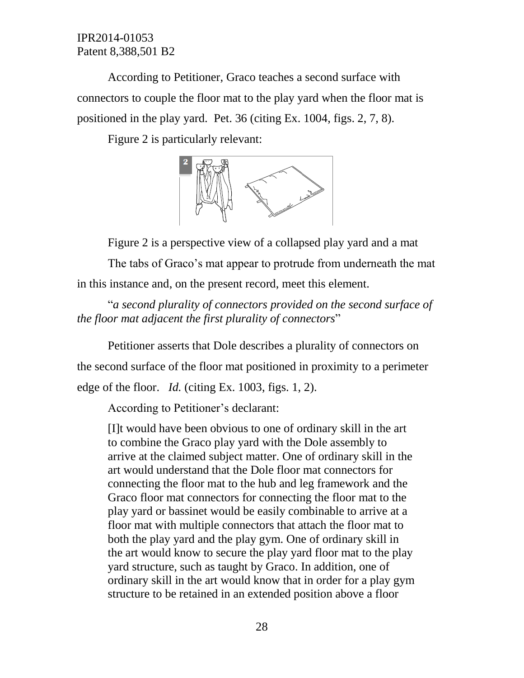According to Petitioner, Graco teaches a second surface with connectors to couple the floor mat to the play yard when the floor mat is positioned in the play yard. Pet. 36 (citing Ex. 1004, figs. 2, 7, 8).

Figure 2 is particularly relevant:

![](_page_27_Figure_3.jpeg)

Figure 2 is a perspective view of a collapsed play yard and a mat The tabs of Graco's mat appear to protrude from underneath the mat in this instance and, on the present record, meet this element.

"*a second plurality of connectors provided on the second surface of the floor mat adjacent the first plurality of connectors*"

Petitioner asserts that Dole describes a plurality of connectors on the second surface of the floor mat positioned in proximity to a perimeter edge of the floor. *Id.* (citing Ex. 1003, figs. 1, 2).

According to Petitioner's declarant:

[I]t would have been obvious to one of ordinary skill in the art to combine the Graco play yard with the Dole assembly to arrive at the claimed subject matter. One of ordinary skill in the art would understand that the Dole floor mat connectors for connecting the floor mat to the hub and leg framework and the Graco floor mat connectors for connecting the floor mat to the play yard or bassinet would be easily combinable to arrive at a floor mat with multiple connectors that attach the floor mat to both the play yard and the play gym. One of ordinary skill in the art would know to secure the play yard floor mat to the play yard structure, such as taught by Graco. In addition, one of ordinary skill in the art would know that in order for a play gym structure to be retained in an extended position above a floor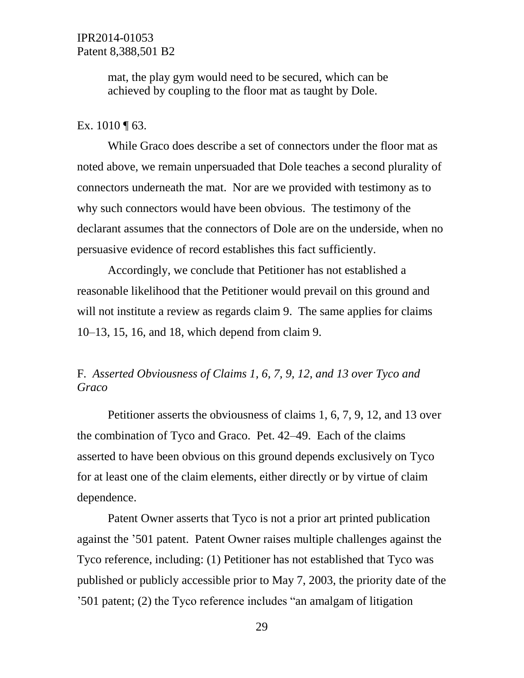mat, the play gym would need to be secured, which can be achieved by coupling to the floor mat as taught by Dole.

#### Ex. 1010 ¶ 63.

While Graco does describe a set of connectors under the floor mat as noted above, we remain unpersuaded that Dole teaches a second plurality of connectors underneath the mat. Nor are we provided with testimony as to why such connectors would have been obvious. The testimony of the declarant assumes that the connectors of Dole are on the underside, when no persuasive evidence of record establishes this fact sufficiently.

Accordingly, we conclude that Petitioner has not established a reasonable likelihood that the Petitioner would prevail on this ground and will not institute a review as regards claim 9. The same applies for claims 10–13, 15, 16, and 18, which depend from claim 9.

## F*. Asserted Obviousness of Claims 1, 6, 7, 9, 12, and 13 over Tyco and Graco*

Petitioner asserts the obviousness of claims 1, 6, 7, 9, 12, and 13 over the combination of Tyco and Graco. Pet. 42–49. Each of the claims asserted to have been obvious on this ground depends exclusively on Tyco for at least one of the claim elements, either directly or by virtue of claim dependence.

Patent Owner asserts that Tyco is not a prior art printed publication against the '501 patent. Patent Owner raises multiple challenges against the Tyco reference, including: (1) Petitioner has not established that Tyco was published or publicly accessible prior to May 7, 2003, the priority date of the '501 patent; (2) the Tyco reference includes "an amalgam of litigation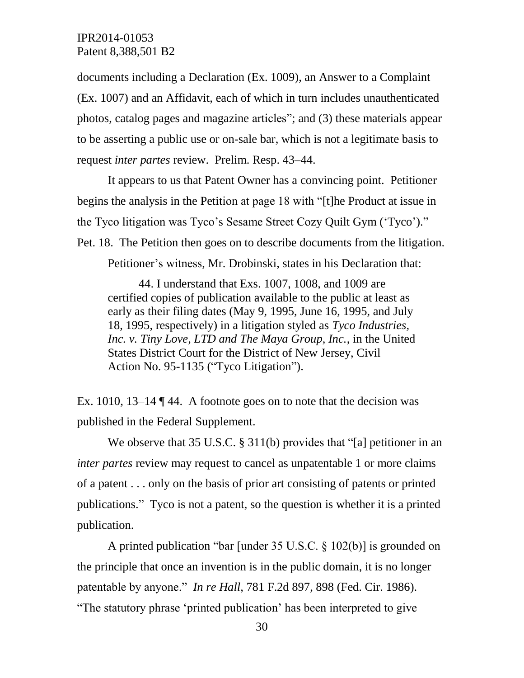documents including a Declaration (Ex. 1009), an Answer to a Complaint (Ex. 1007) and an Affidavit, each of which in turn includes unauthenticated photos, catalog pages and magazine articles"; and (3) these materials appear to be asserting a public use or on-sale bar, which is not a legitimate basis to request *inter partes* review. Prelim. Resp. 43–44.

It appears to us that Patent Owner has a convincing point. Petitioner begins the analysis in the Petition at page 18 with "[t]he Product at issue in the Tyco litigation was Tyco's Sesame Street Cozy Quilt Gym ('Tyco')." Pet. 18. The Petition then goes on to describe documents from the litigation.

Petitioner's witness, Mr. Drobinski, states in his Declaration that:

44. I understand that Exs. 1007, 1008, and 1009 are certified copies of publication available to the public at least as early as their filing dates (May 9, 1995, June 16, 1995, and July 18, 1995, respectively) in a litigation styled as *Tyco Industries, Inc. v. Tiny Love, LTD and The Maya Group, Inc.*, in the United States District Court for the District of New Jersey, Civil Action No. 95-1135 ("Tyco Litigation").

Ex. 1010, 13–14 ¶ 44. A footnote goes on to note that the decision was published in the Federal Supplement.

We observe that 35 U.S.C. § 311(b) provides that "[a] petitioner in an *inter partes* review may request to cancel as unpatentable 1 or more claims of a patent . . . only on the basis of prior art consisting of patents or printed publications." Tyco is not a patent, so the question is whether it is a printed publication.

A printed publication "bar [under 35 U.S.C. § 102(b)] is grounded on the principle that once an invention is in the public domain, it is no longer patentable by anyone." *In re Hall*, 781 F.2d 897, 898 (Fed. Cir. 1986). "The statutory phrase 'printed publication' has been interpreted to give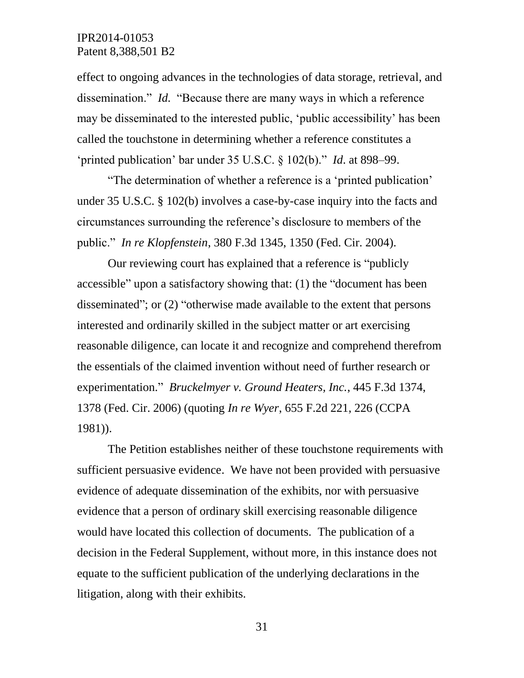effect to ongoing advances in the technologies of data storage, retrieval, and dissemination." *Id.* "Because there are many ways in which a reference may be disseminated to the interested public, 'public accessibility' has been called the touchstone in determining whether a reference constitutes a 'printed publication' bar under 35 U.S.C. § 102(b)." *Id*. at 898–99.

"The determination of whether a reference is a 'printed publication' under 35 U.S.C. § 102(b) involves a case-by-case inquiry into the facts and circumstances surrounding the reference's disclosure to members of the public." *In re Klopfenstein*, 380 F.3d 1345, 1350 (Fed. Cir. 2004).

Our reviewing court has explained that a reference is "publicly accessible" upon a satisfactory showing that: (1) the "document has been disseminated"; or (2) "otherwise made available to the extent that persons interested and ordinarily skilled in the subject matter or art exercising reasonable diligence, can locate it and recognize and comprehend therefrom the essentials of the claimed invention without need of further research or experimentation." *Bruckelmyer v. Ground Heaters, Inc.*, 445 F.3d 1374, 1378 (Fed. Cir. 2006) (quoting *In re Wyer*, 655 F.2d 221, 226 (CCPA 1981)).

The Petition establishes neither of these touchstone requirements with sufficient persuasive evidence. We have not been provided with persuasive evidence of adequate dissemination of the exhibits, nor with persuasive evidence that a person of ordinary skill exercising reasonable diligence would have located this collection of documents. The publication of a decision in the Federal Supplement, without more, in this instance does not equate to the sufficient publication of the underlying declarations in the litigation, along with their exhibits.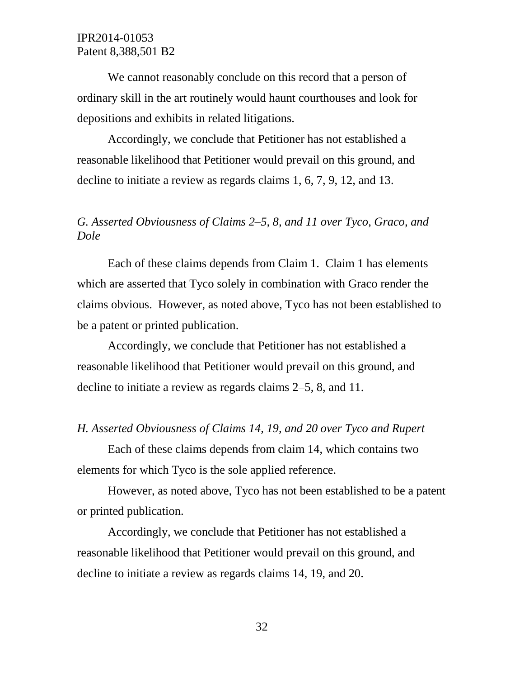We cannot reasonably conclude on this record that a person of ordinary skill in the art routinely would haunt courthouses and look for depositions and exhibits in related litigations.

Accordingly, we conclude that Petitioner has not established a reasonable likelihood that Petitioner would prevail on this ground, and decline to initiate a review as regards claims 1, 6, 7, 9, 12, and 13.

## *G. Asserted Obviousness of Claims 2–5, 8, and 11 over Tyco, Graco, and Dole*

Each of these claims depends from Claim 1. Claim 1 has elements which are asserted that Tyco solely in combination with Graco render the claims obvious. However, as noted above, Tyco has not been established to be a patent or printed publication.

Accordingly, we conclude that Petitioner has not established a reasonable likelihood that Petitioner would prevail on this ground, and decline to initiate a review as regards claims 2–5, 8, and 11.

## *H. Asserted Obviousness of Claims 14, 19, and 20 over Tyco and Rupert*

Each of these claims depends from claim 14, which contains two elements for which Tyco is the sole applied reference.

However, as noted above, Tyco has not been established to be a patent or printed publication.

Accordingly, we conclude that Petitioner has not established a reasonable likelihood that Petitioner would prevail on this ground, and decline to initiate a review as regards claims 14, 19, and 20.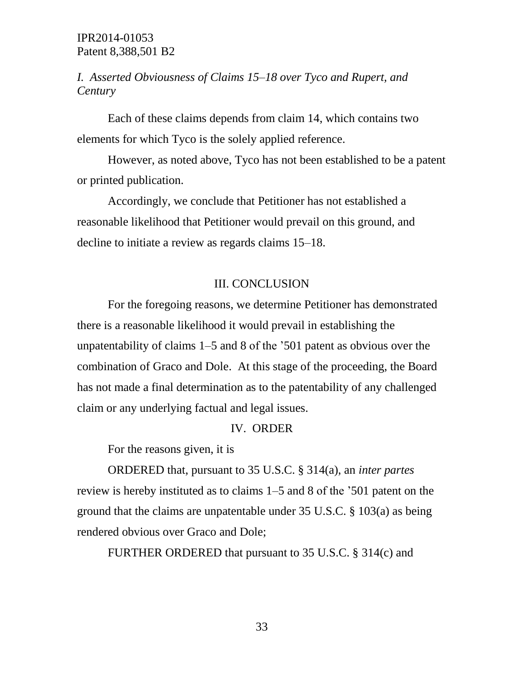# *I. Asserted Obviousness of Claims 15–18 over Tyco and Rupert, and Century*

Each of these claims depends from claim 14, which contains two elements for which Tyco is the solely applied reference.

However, as noted above, Tyco has not been established to be a patent or printed publication.

Accordingly, we conclude that Petitioner has not established a reasonable likelihood that Petitioner would prevail on this ground, and decline to initiate a review as regards claims 15–18.

## III. CONCLUSION

For the foregoing reasons, we determine Petitioner has demonstrated there is a reasonable likelihood it would prevail in establishing the unpatentability of claims 1–5 and 8 of the '501 patent as obvious over the combination of Graco and Dole. At this stage of the proceeding, the Board has not made a final determination as to the patentability of any challenged claim or any underlying factual and legal issues.

#### IV. ORDER

For the reasons given, it is

ORDERED that, pursuant to 35 U.S.C. § 314(a), an *inter partes*  review is hereby instituted as to claims 1–5 and 8 of the '501 patent on the ground that the claims are unpatentable under 35 U.S.C. § 103(a) as being rendered obvious over Graco and Dole;

FURTHER ORDERED that pursuant to 35 U.S.C. § 314(c) and